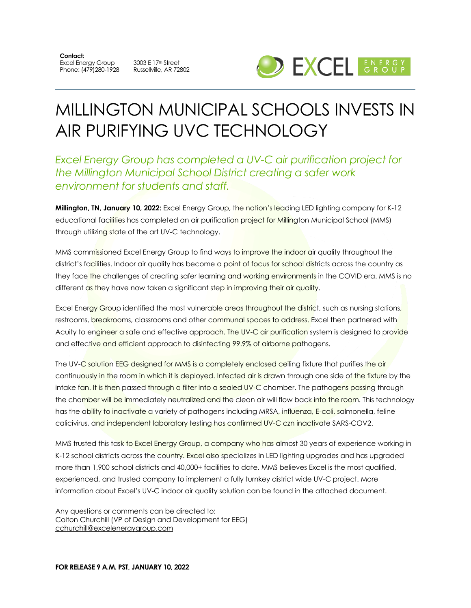**Contact:**  Excel Energy Group Phone: (479)280-1928 Russellville, AR 72802

3003 E 17th Street



# MILLINGTON MUNICIPAL SCHOOLS INVESTS IN AIR PURIFYING UVC TECHNOLOGY

#### *Excel Energy Group has completed a UV-C air purification project for the Millington Municipal School District creating a safer work environment for students and staff.*

**Millington, TN, January 10, 2022:** Excel Energy Group, the nation's leading LED lighting company for K-12 educational facilities has completed an air purification project for Millington Municipal School (MMS) through utilizing state of the art UV-C technology.

MMS commissioned Excel Energy Group to find ways to improve the indoor air quality throughout the district's facilities. Indoor air quality has become a point of focus for school districts across the country as they face the challenges of creating safer learning and working environments in the COVID era. MMS is no different as they have now taken a significant step in improving their air quality.

Excel Energy Group identified the most vulnerable areas throughout the district, such as nursing stations, restrooms, breakrooms, classrooms and other communal spaces to address. Excel then partnered with Acuity to engineer a safe and effective approach. The UV-C air purification system is designed to provide and effective and efficient approach to disinfecting 99.9% of airborne pathogens.

The UV-C solution EEG designed for MMS is a completely enclosed ceiling fixture that purifies the air continuously in the room in which it is deployed. Infected air is drawn through one side of the fixture by the intake fan. It is then passed through a filter into a sealed UV-C chamber. The pathogens passing through the chamber will be immediately neutralized and the clean air will flow back into the room. This technology has the ability to inactivate a variety of pathogens including MRSA, influenza, E-coli, salmonella, feline calicivirus, and independent laboratory testing has confirmed UV-C czn inactivate SARS-COV2.

MMS trusted this task to Excel Energy Group, a company who has almost 30 years of experience working in K-12 school districts across the country. Excel also specializes in LED lighting upgrades and has upgraded more than 1,900 school districts and 40,000+ facilities to date. MMS believes Excel is the most qualified, experienced, and trusted company to implement a fully turnkey district wide UV-C project. More information about Excel's UV-C indoor air quality solution can be found in the attached document.

Any questions or comments can be directed to: Colton Churchill (VP of Design and Development for EEG) cchurchill@excelenergygroup.com